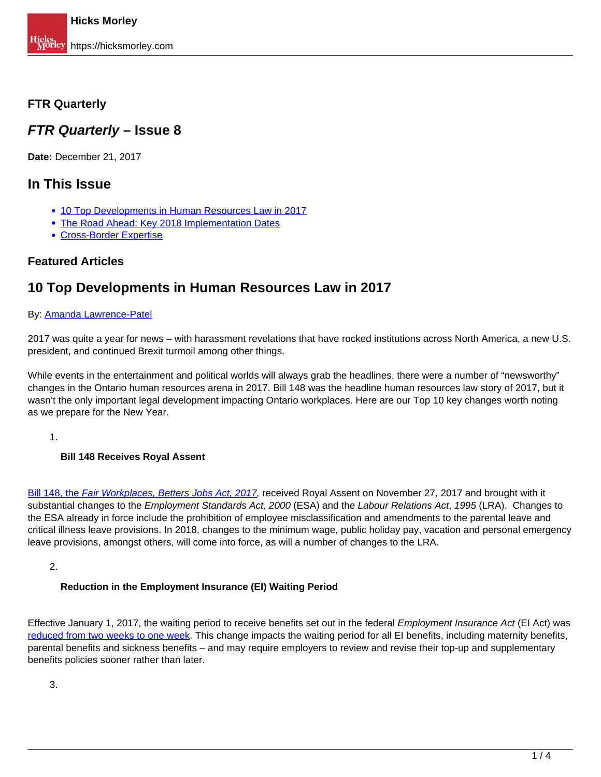# <span id="page-0-0"></span>**FTR Quarterly**

# **FTR Quarterly – Issue 8**

**Date:** December 21, 2017

# **In This Issue**

- [10 Top Developments in Human Resources Law in 2017](#page-0-0)
- The Road Ahead: Key 2018 Implementation Dates
- Cross-Border Expertise

# **Featured Articles**

# **10 Top Developments in Human Resources Law in 2017**

### By: Amanda Lawrence-Patel

2017 was quite a year for news – with harassment revelations that have rocked institutions across North America, a new U.S. president, and continued Brexit turmoil among other things.

While events in the entertainment and political worlds will always grab the headlines, there were a number of "newsworthy" changes in the Ontario human resources arena in 2017. Bill 148 was the headline human resources law story of 2017, but it wasn't the only important legal development impacting Ontario workplaces. Here are our Top 10 key changes worth noting as we prepare for the New Year.

1.

## **Bill 148 Receives Royal Assent**

Bill 148, the Fair Workplaces, Betters Jobs Act, 2017, received Royal Assent on November 27, 2017 and brought with it substantial changes to the *Employment Standards Act, 2000* (ESA) and the Labour Relations Act, 1995 (LRA). Changes to the ESA already in force include the prohibition of employee misclassification and amendments to the parental leave and critical illness leave provisions. In 2018, changes to the minimum wage, public holiday pay, vacation and personal emergency leave provisions, amongst others, will come into force, as will a number of changes to the LRA.

2.

## **Reduction in the Employment Insurance (EI) Waiting Period**

Effective January 1, 2017, the waiting period to receive benefits set out in the federal *Employment Insurance Act* (EI Act) was reduced from two weeks to one week. This change impacts the waiting period for all EI benefits, including maternity benefits, parental benefits and sickness benefits – and may require employers to review and revise their top-up and supplementary benefits policies sooner rather than later.

3.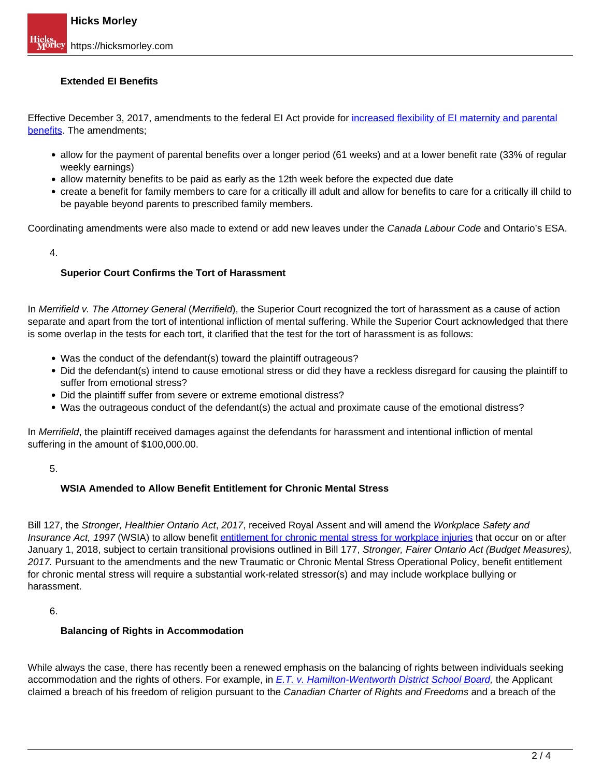### **Extended EI Benefits**

Effective December 3, 2017, amendments to the federal EI Act provide for increased flexibility of EI maternity and parental benefits. The amendments;

- allow for the payment of parental benefits over a longer period (61 weeks) and at a lower benefit rate (33% of regular weekly earnings)
- allow maternity benefits to be paid as early as the 12th week before the expected due date
- create a benefit for family members to care for a critically ill adult and allow for benefits to care for a critically ill child to be payable beyond parents to prescribed family members.

Coordinating amendments were also made to extend or add new leaves under the Canada Labour Code and Ontario's ESA.

4.

#### **Superior Court Confirms the Tort of Harassment**

In Merrifield v. The Attorney General (Merrifield), the Superior Court recognized the tort of harassment as a cause of action separate and apart from the tort of intentional infliction of mental suffering. While the Superior Court acknowledged that there is some overlap in the tests for each tort, it clarified that the test for the tort of harassment is as follows:

- Was the conduct of the defendant(s) toward the plaintiff outrageous?
- Did the defendant(s) intend to cause emotional stress or did they have a reckless disregard for causing the plaintiff to suffer from emotional stress?
- Did the plaintiff suffer from severe or extreme emotional distress?
- Was the outrageous conduct of the defendant(s) the actual and proximate cause of the emotional distress?

In Merrifield, the plaintiff received damages against the defendants for harassment and intentional infliction of mental suffering in the amount of \$100,000.00.

#### 5.

#### **WSIA Amended to Allow Benefit Entitlement for Chronic Mental Stress**

Bill 127, the Stronger, Healthier Ontario Act, 2017, received Royal Assent and will amend the Workplace Safety and Insurance Act, 1997 (WSIA) to allow benefit entitlement for chronic mental stress for workplace injuries that occur on or after January 1, 2018, subject to certain transitional provisions outlined in Bill 177, Stronger, Fairer Ontario Act (Budget Measures), 2017. Pursuant to the amendments and the new Traumatic or Chronic Mental Stress Operational Policy, benefit entitlement for chronic mental stress will require a substantial work-related stressor(s) and may include workplace bullying or harassment.

6.

#### **Balancing of Rights in Accommodation**

While always the case, there has recently been a renewed emphasis on the balancing of rights between individuals seeking accommodation and the rights of others. For example, in *E.T. v. Hamilton-Wentworth District School Board*, the Applicant claimed a breach of his freedom of religion pursuant to the Canadian Charter of Rights and Freedoms and a breach of the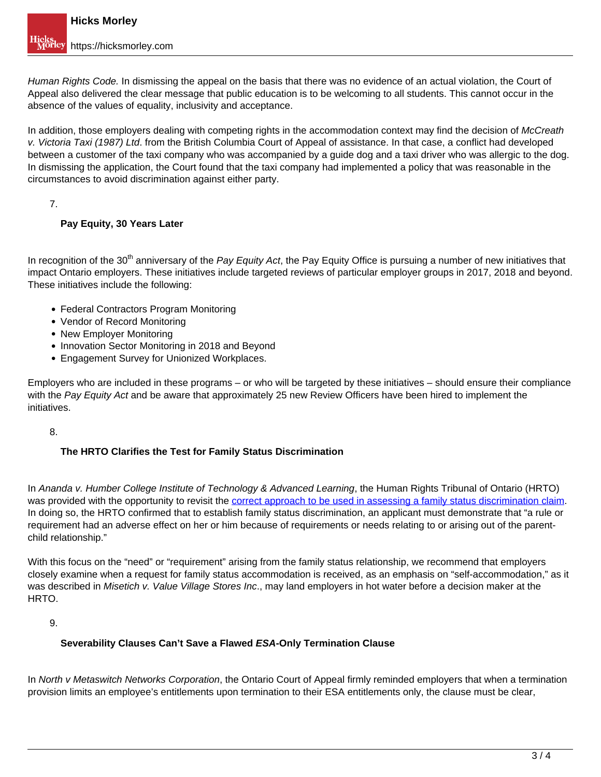Human Rights Code. In dismissing the appeal on the basis that there was no evidence of an actual violation, the Court of Appeal also delivered the clear message that public education is to be welcoming to all students. This cannot occur in the absence of the values of equality, inclusivity and acceptance.

In addition, those employers dealing with competing rights in the accommodation context may find the decision of McCreath v. Victoria Taxi (1987) Ltd. from the British Columbia Court of Appeal of assistance. In that case, a conflict had developed between a customer of the taxi company who was accompanied by a guide dog and a taxi driver who was allergic to the dog. In dismissing the application, the Court found that the taxi company had implemented a policy that was reasonable in the circumstances to avoid discrimination against either party.

7.

## **Pay Equity, 30 Years Later**

In recognition of the 30<sup>th</sup> anniversary of the Pay Equity Act, the Pay Equity Office is pursuing a number of new initiatives that impact Ontario employers. These initiatives include targeted reviews of particular employer groups in 2017, 2018 and beyond. These initiatives include the following:

- Federal Contractors Program Monitoring
- Vendor of Record Monitoring
- New Employer Monitoring
- Innovation Sector Monitoring in 2018 and Beyond
- Engagement Survey for Unionized Workplaces.

Employers who are included in these programs – or who will be targeted by these initiatives – should ensure their compliance with the Pay Equity Act and be aware that approximately 25 new Review Officers have been hired to implement the initiatives.

8.

# **The HRTO Clarifies the Test for Family Status Discrimination**

In Ananda v. Humber College Institute of Technology & Advanced Learning, the Human Rights Tribunal of Ontario (HRTO) was provided with the opportunity to revisit the correct approach to be used in assessing a family status discrimination claim. In doing so, the HRTO confirmed that to establish family status discrimination, an applicant must demonstrate that "a rule or requirement had an adverse effect on her or him because of requirements or needs relating to or arising out of the parentchild relationship."

With this focus on the "need" or "requirement" arising from the family status relationship, we recommend that employers closely examine when a request for family status accommodation is received, as an emphasis on "self-accommodation," as it was described in Misetich v. Value Village Stores Inc., may land employers in hot water before a decision maker at the HRTO.

9.

## **Severability Clauses Can't Save a Flawed ESA-Only Termination Clause**

In North v Metaswitch Networks Corporation, the Ontario Court of Appeal firmly reminded employers that when a termination provision limits an employee's entitlements upon termination to their ESA entitlements only, the clause must be clear,